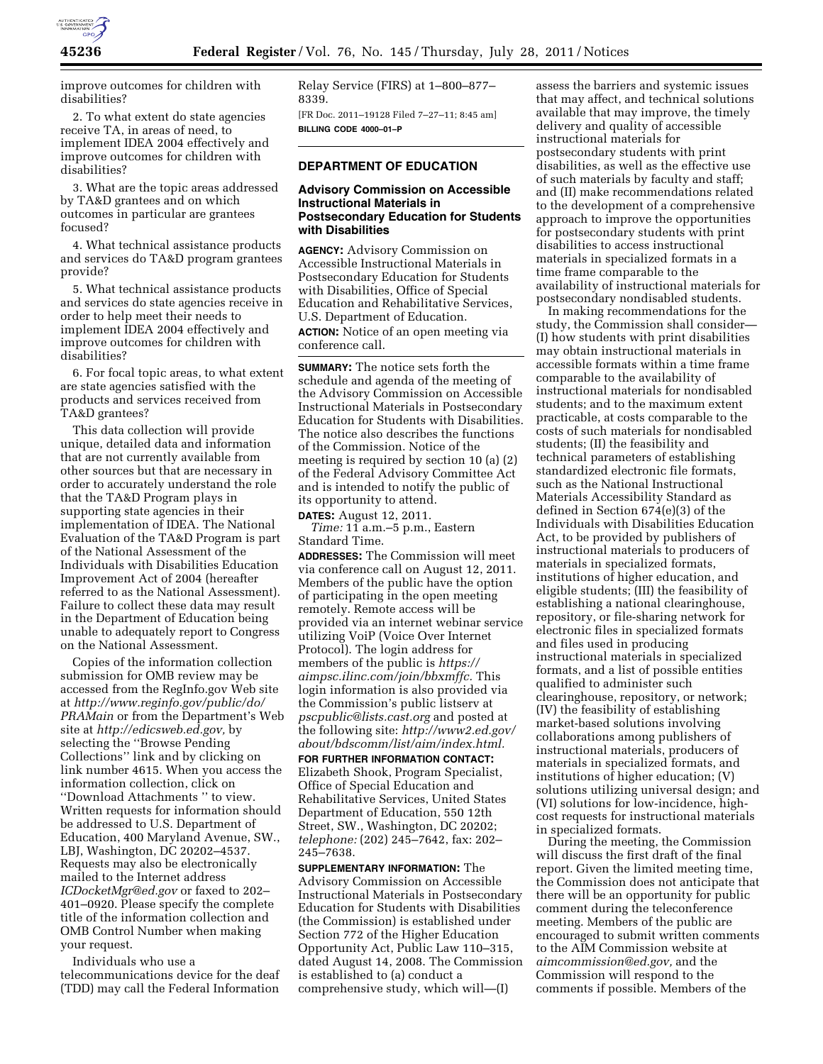

improve outcomes for children with disabilities?

2. To what extent do state agencies receive TA, in areas of need, to implement IDEA 2004 effectively and improve outcomes for children with disabilities?

3. What are the topic areas addressed by TA&D grantees and on which outcomes in particular are grantees focused?

4. What technical assistance products and services do TA&D program grantees provide?

5. What technical assistance products and services do state agencies receive in order to help meet their needs to implement IDEA 2004 effectively and improve outcomes for children with disabilities?

6. For focal topic areas, to what extent are state agencies satisfied with the products and services received from TA&D grantees?

This data collection will provide unique, detailed data and information that are not currently available from other sources but that are necessary in order to accurately understand the role that the TA&D Program plays in supporting state agencies in their implementation of IDEA. The National Evaluation of the TA&D Program is part of the National Assessment of the Individuals with Disabilities Education Improvement Act of 2004 (hereafter referred to as the National Assessment). Failure to collect these data may result in the Department of Education being unable to adequately report to Congress on the National Assessment.

Copies of the information collection submission for OMB review may be accessed from the RegInfo.gov Web site at *[http://www.reginfo.gov/public/do/](http://www.reginfo.gov/public/do/PRAMain) [PRAMain](http://www.reginfo.gov/public/do/PRAMain)* or from the Department's Web site at *[http://edicsweb.ed.gov,](http://edicsweb.ed.gov)* by selecting the ''Browse Pending Collections'' link and by clicking on link number 4615. When you access the information collection, click on ''Download Attachments '' to view. Written requests for information should be addressed to U.S. Department of Education, 400 Maryland Avenue, SW., LBJ, Washington, DC 20202–4537. Requests may also be electronically mailed to the Internet address *[ICDocketMgr@ed.gov](mailto:ICDocketMgr@ed.gov)* or faxed to 202– 401–0920. Please specify the complete title of the information collection and OMB Control Number when making your request.

Individuals who use a telecommunications device for the deaf (TDD) may call the Federal Information Relay Service (FIRS) at 1–800–877– 8339.

[FR Doc. 2011–19128 Filed 7–27–11; 8:45 am] **BILLING CODE 4000–01–P** 

# **DEPARTMENT OF EDUCATION**

# **Advisory Commission on Accessible Instructional Materials in Postsecondary Education for Students with Disabilities**

**AGENCY:** Advisory Commission on Accessible Instructional Materials in Postsecondary Education for Students with Disabilities, Office of Special Education and Rehabilitative Services, U.S. Department of Education. **ACTION:** Notice of an open meeting via conference call.

**SUMMARY:** The notice sets forth the schedule and agenda of the meeting of the Advisory Commission on Accessible Instructional Materials in Postsecondary Education for Students with Disabilities. The notice also describes the functions of the Commission. Notice of the meeting is required by section 10 (a) (2) of the Federal Advisory Committee Act and is intended to notify the public of its opportunity to attend. **DATES:** August 12, 2011.

*Time:* 11 a.m.–5 p.m., Eastern Standard Time.

**ADDRESSES:** The Commission will meet via conference call on August 12, 2011. Members of the public have the option of participating in the open meeting remotely. Remote access will be provided via an internet webinar service utilizing VoiP (Voice Over Internet Protocol). The login address for members of the public is *[https://](https://aimpsc.ilinc.com/join/bbxmffc)  [aimpsc.ilinc.com/join/bbxmffc.](https://aimpsc.ilinc.com/join/bbxmffc)* This login information is also provided via the Commission's public listserv at *[pscpublic@lists.cast.org](mailto:pscpublic@lists.cast.org)* and posted at the following site: *[http://www2.ed.gov/](http://www2.ed.gov/about/bdscomm/list/aim/index.html)  [about/bdscomm/list/aim/index.html.](http://www2.ed.gov/about/bdscomm/list/aim/index.html)* 

**FOR FURTHER INFORMATION CONTACT:**  Elizabeth Shook, Program Specialist, Office of Special Education and Rehabilitative Services, United States Department of Education, 550 12th Street, SW., Washington, DC 20202; *telephone:* (202) 245–7642, fax: 202– 245–7638.

**SUPPLEMENTARY INFORMATION:** The Advisory Commission on Accessible Instructional Materials in Postsecondary Education for Students with Disabilities (the Commission) is established under Section 772 of the Higher Education Opportunity Act, Public Law 110–315, dated August 14, 2008. The Commission is established to (a) conduct a comprehensive study, which will—(I)

assess the barriers and systemic issues that may affect, and technical solutions available that may improve, the timely delivery and quality of accessible instructional materials for postsecondary students with print disabilities, as well as the effective use of such materials by faculty and staff; and (II) make recommendations related to the development of a comprehensive approach to improve the opportunities for postsecondary students with print disabilities to access instructional materials in specialized formats in a time frame comparable to the availability of instructional materials for postsecondary nondisabled students.

In making recommendations for the study, the Commission shall consider— (I) how students with print disabilities may obtain instructional materials in accessible formats within a time frame comparable to the availability of instructional materials for nondisabled students; and to the maximum extent practicable, at costs comparable to the costs of such materials for nondisabled students; (II) the feasibility and technical parameters of establishing standardized electronic file formats, such as the National Instructional Materials Accessibility Standard as defined in Section 674(e)(3) of the Individuals with Disabilities Education Act, to be provided by publishers of instructional materials to producers of materials in specialized formats, institutions of higher education, and eligible students; (III) the feasibility of establishing a national clearinghouse, repository, or file-sharing network for electronic files in specialized formats and files used in producing instructional materials in specialized formats, and a list of possible entities qualified to administer such clearinghouse, repository, or network; (IV) the feasibility of establishing market-based solutions involving collaborations among publishers of instructional materials, producers of materials in specialized formats, and institutions of higher education; (V) solutions utilizing universal design; and (VI) solutions for low-incidence, highcost requests for instructional materials in specialized formats.

During the meeting, the Commission will discuss the first draft of the final report. Given the limited meeting time, the Commission does not anticipate that there will be an opportunity for public comment during the teleconference meeting. Members of the public are encouraged to submit written comments to the AIM Commission website at *[aimcommission@ed.gov,](mailto:aimcommission@ed.gov)* and the Commission will respond to the comments if possible. Members of the